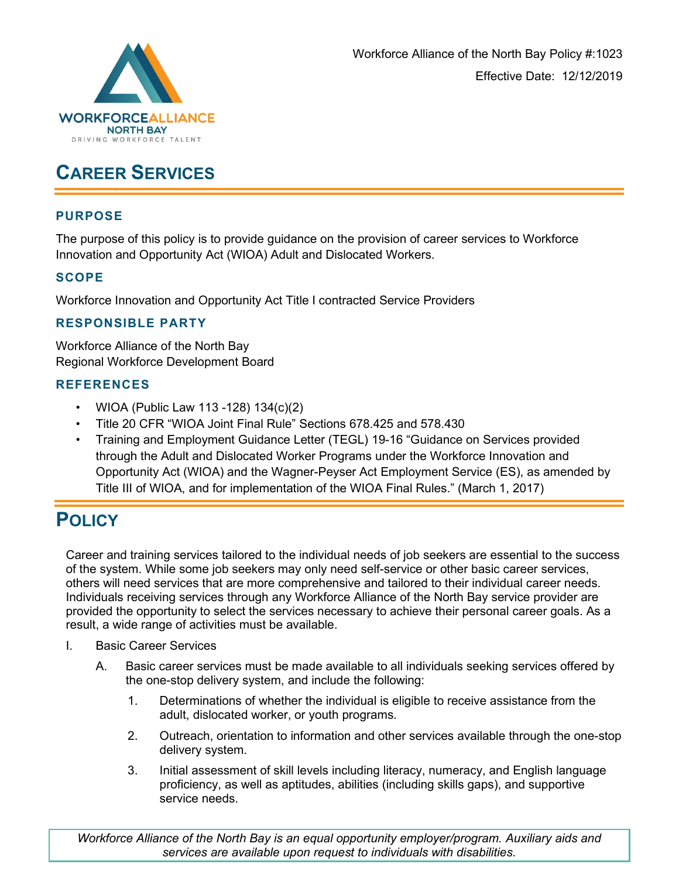

## **CAREER SERVICES**

#### **PURPOSE**

The purpose of this policy is to provide guidance on the provision of career services to Workforce Innovation and Opportunity Act (WIOA) Adult and Dislocated Workers.

## **SCOPE**

Workforce Innovation and Opportunity Act Title I contracted Service Providers

### **RESPONSIBLE PARTY**

Workforce Alliance of the North Bay Regional Workforce Development Board

### **REFERENCES**

- WIOA (Public Law 113 -128) 134(c)(2)
- Title 20 CFR "WIOA Joint Final Rule" Sections 678.425 and 578.430
- Training and Employment Guidance Letter (TEGL) 19-16 "Guidance on Services provided through the Adult and Dislocated Worker Programs under the Workforce Innovation and Opportunity Act (WIOA) and the Wagner-Peyser Act Employment Service (ES), as amended by Title III of WIOA, and for implementation of the WIOA Final Rules." (March 1, 2017)

# **POLICY**

Career and training services tailored to the individual needs of job seekers are essential to the success of the system. While some job seekers may only need self-service or other basic career services, others will need services that are more comprehensive and tailored to their individual career needs. Individuals receiving services through any Workforce Alliance of the North Bay service provider are provided the opportunity to select the services necessary to achieve their personal career goals. As a result, a wide range of activities must be available.

- I. Basic Career Services
	- A. Basic career services must be made available to all individuals seeking services offered by the one-stop delivery system, and include the following:
		- 1. Determinations of whether the individual is eligible to receive assistance from the adult, dislocated worker, or youth programs.
		- 2. Outreach, orientation to information and other services available through the one-stop delivery system.
		- 3. Initial assessment of skill levels including literacy, numeracy, and English language proficiency, as well as aptitudes, abilities (including skills gaps), and supportive service needs.

*Workforce Alliance of the North Bay is an equal opportunity employer/program. Auxiliary aids and services are available upon request to individuals with disabilities.*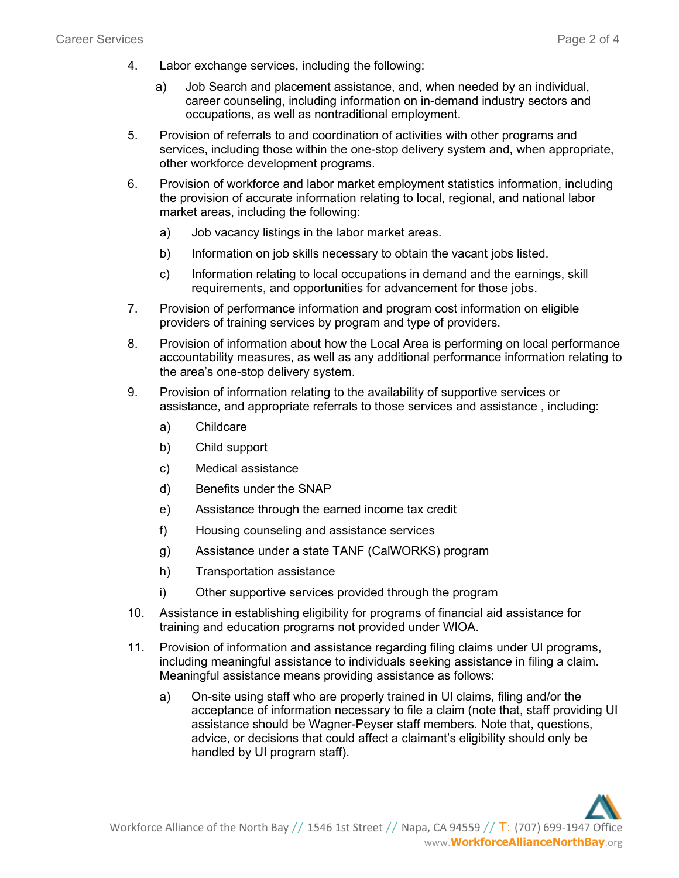- 4. Labor exchange services, including the following:
	- a) Job Search and placement assistance, and, when needed by an individual, career counseling, including information on in-demand industry sectors and occupations, as well as nontraditional employment.
- 5. Provision of referrals to and coordination of activities with other programs and services, including those within the one-stop delivery system and, when appropriate, other workforce development programs.
- 6. Provision of workforce and labor market employment statistics information, including the provision of accurate information relating to local, regional, and national labor market areas, including the following:
	- a) Job vacancy listings in the labor market areas.
	- b) Information on job skills necessary to obtain the vacant jobs listed.
	- c) Information relating to local occupations in demand and the earnings, skill requirements, and opportunities for advancement for those jobs.
- 7. Provision of performance information and program cost information on eligible providers of training services by program and type of providers.
- 8. Provision of information about how the Local Area is performing on local performance accountability measures, as well as any additional performance information relating to the area's one-stop delivery system.
- 9. Provision of information relating to the availability of supportive services or assistance, and appropriate referrals to those services and assistance , including:
	- a) Childcare
	- b) Child support
	- c) Medical assistance
	- d) Benefits under the SNAP
	- e) Assistance through the earned income tax credit
	- f) Housing counseling and assistance services
	- g) Assistance under a state TANF (CalWORKS) program
	- h) Transportation assistance
	- i) Other supportive services provided through the program
- 10. Assistance in establishing eligibility for programs of financial aid assistance for training and education programs not provided under WIOA.
- 11. Provision of information and assistance regarding filing claims under UI programs, including meaningful assistance to individuals seeking assistance in filing a claim. Meaningful assistance means providing assistance as follows:
	- a) On-site using staff who are properly trained in UI claims, filing and/or the acceptance of information necessary to file a claim (note that, staff providing UI assistance should be Wagner-Peyser staff members. Note that, questions, advice, or decisions that could affect a claimant's eligibility should only be handled by UI program staff).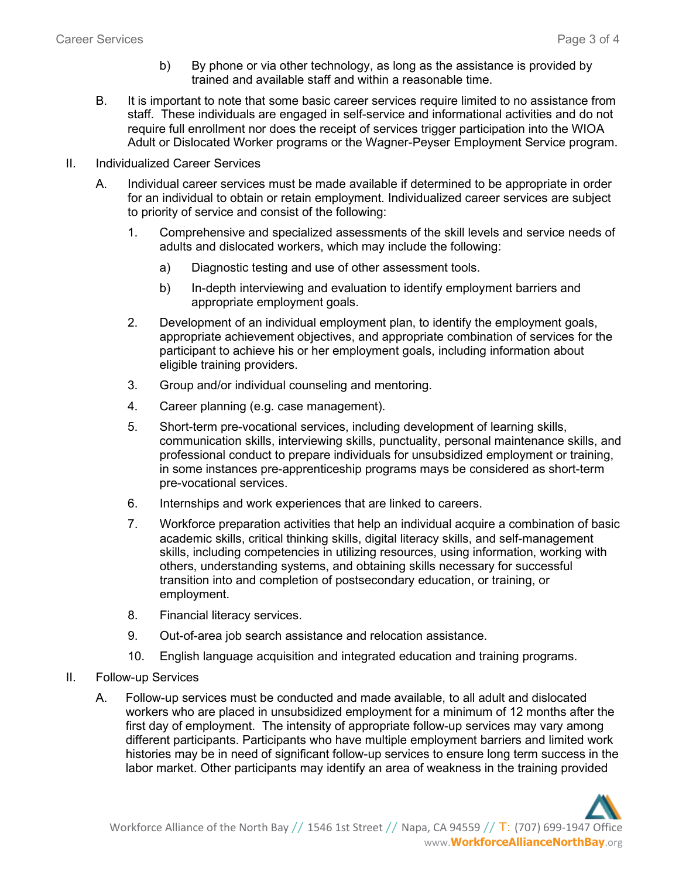- b) By phone or via other technology, as long as the assistance is provided by trained and available staff and within a reasonable time.
- B. It is important to note that some basic career services require limited to no assistance from staff. These individuals are engaged in self-service and informational activities and do not require full enrollment nor does the receipt of services trigger participation into the WIOA Adult or Dislocated Worker programs or the Wagner-Peyser Employment Service program.
- II. Individualized Career Services
	- A. Individual career services must be made available if determined to be appropriate in order for an individual to obtain or retain employment. Individualized career services are subject to priority of service and consist of the following:
		- 1. Comprehensive and specialized assessments of the skill levels and service needs of adults and dislocated workers, which may include the following:
			- a) Diagnostic testing and use of other assessment tools.
			- b) In-depth interviewing and evaluation to identify employment barriers and appropriate employment goals.
		- 2. Development of an individual employment plan, to identify the employment goals, appropriate achievement objectives, and appropriate combination of services for the participant to achieve his or her employment goals, including information about eligible training providers.
		- 3. Group and/or individual counseling and mentoring.
		- 4. Career planning (e.g. case management).
		- 5. Short-term pre-vocational services, including development of learning skills, communication skills, interviewing skills, punctuality, personal maintenance skills, and professional conduct to prepare individuals for unsubsidized employment or training, in some instances pre-apprenticeship programs mays be considered as short-term pre-vocational services.
		- 6. Internships and work experiences that are linked to careers.
		- 7. Workforce preparation activities that help an individual acquire a combination of basic academic skills, critical thinking skills, digital literacy skills, and self-management skills, including competencies in utilizing resources, using information, working with others, understanding systems, and obtaining skills necessary for successful transition into and completion of postsecondary education, or training, or employment.
		- 8. Financial literacy services.
		- 9. Out-of-area job search assistance and relocation assistance.
		- 10. English language acquisition and integrated education and training programs.
- II. Follow-up Services
	- A. Follow-up services must be conducted and made available, to all adult and dislocated workers who are placed in unsubsidized employment for a minimum of 12 months after the first day of employment. The intensity of appropriate follow-up services may vary among different participants. Participants who have multiple employment barriers and limited work histories may be in need of significant follow-up services to ensure long term success in the labor market. Other participants may identify an area of weakness in the training provided